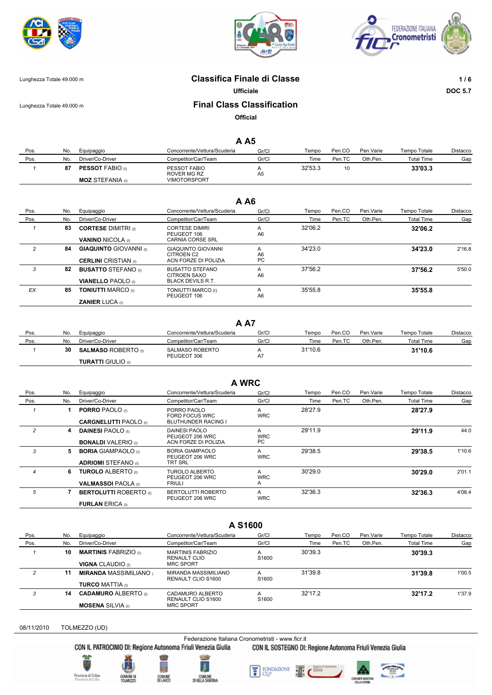





## Lunghezza Totale 49.000 m **Classifica Finale di Classe 1 / 6**

**Ufficiale DOC 5.7**

## Lunghezza Totale 49.000 m **Final Class Classification**

**Official**

### **A A5**

| Pos. | No. | Equipaggio              | Concorrente/Vettura/Scuderia | Gr/Cl          | Tempo   | Pen.CO | Pen.Varie | Tempo Totale | Distacco |
|------|-----|-------------------------|------------------------------|----------------|---------|--------|-----------|--------------|----------|
| Pos. | No. | Driver/Co-Driver        | Competitor/Car/Team          | Gr/Cl          | Time    | Pen.TC | Oth.Pen.  | Total Time   | Gap      |
|      | 87  | <b>PESSOT FABIO</b> (i) | PESSOT FABIO<br>ROVER MG RZ  | A <sub>5</sub> | 32'53.3 | 10     |           | 33'03.3      |          |
|      |     | <b>MOZ STEFANIA</b> (i) | <b>VIMOTORSPORT</b>          |                |         |        |           |              |          |

# **A A6**

| Pos.           | No. | Equipaggio                                                   | Concorrente/Vettura/Scuderia                                    | Gr/Cl         | Tempo   | Pen.CO | Pen.Varie | Tempo Totale      | Distacco |
|----------------|-----|--------------------------------------------------------------|-----------------------------------------------------------------|---------------|---------|--------|-----------|-------------------|----------|
| Pos.           | No. | Driver/Co-Driver                                             | Competitor/Car/Team                                             | Gr/Cl         | Time    | Pen.TC | Oth.Pen.  | <b>Total Time</b> | Gap      |
|                | 83  | <b>CORTESE DIMITRI</b> (0)<br><b>VANINO NICOLA</b> (i)       | <b>CORTESE DIMIRI</b><br>PEUGEOT 106<br>CARNIA CORSE SRL        | A<br>A6       | 32'06.2 |        |           | 32'06.2           |          |
| $\overline{c}$ | 84  | <b>GIAQUINTO GIOVANNI (I)</b><br><b>CERLINI</b> CRISTIAN (i) | <b>GIAQUINTO GIOVANNI</b><br>CITROEN C2<br>ACN FORZE DI POLIZIA | A<br>A6<br>PC | 34'23.0 |        |           | 34'23.0           | 2'16.8   |
| 3              | 82  | <b>BUSATTO STEFANO</b> (0)<br><b>VIANELLO PAOLO</b> (I)      | BUSATTO STEFANO<br>CITROEN SAXO<br><b>BLACK DEVILS R.T.</b>     | A<br>A6       | 37'56.2 |        |           | 37'56.2           | 5'50.0   |
| EX             | 85  | <b>TONIUTTI MARCO (i)</b><br><b>ZANIER LUCA</b> (I)          | TONIUTTI MARCO (I)<br>PEUGEOT 106                               | A<br>A6       | 35'55.8 |        |           | 35'55.8           |          |

#### **A A7**

| Pos. | No. | Equipaggio                 | Concorrente/Vettura/Scuderia   | Gr/Cl | empo    | Pen.CO | Pen. Varie | Tempo Totale | Distacco |
|------|-----|----------------------------|--------------------------------|-------|---------|--------|------------|--------------|----------|
| Pos. | No. | Driver/Co-Driver           | Competitor/Car/Team            | Gr/Cl | Time    | Pen.TC | Oth.Pen.   | Total Time   | Gao      |
|      | 30  | <b>SALMASO ROBERTO</b> (i) | SALMASO ROBERTO<br>PEUGEOT 306 | A7    | 31'10.6 |        |            | 31'10.6      |          |
|      |     | <b>TURATTI GIULIO</b> (I)  |                                |       |         |        |            |              |          |

| A WRC          |     |                                                          |                                                             |                       |         |        |            |                   |          |
|----------------|-----|----------------------------------------------------------|-------------------------------------------------------------|-----------------------|---------|--------|------------|-------------------|----------|
| Pos.           | No. | Equipaggio                                               | Concorrente/Vettura/Scuderia                                | Gr/Cl                 | Tempo   | Pen.CO | Pen. Varie | Tempo Totale      | Distacco |
| Pos.           | No. | Driver/Co-Driver                                         | Competitor/Car/Team                                         | Gr/Cl                 | Time    | Pen.TC | Oth.Pen.   | <b>Total Time</b> | Gap      |
|                |     | <b>PORRO PAOLO</b> (I)<br><b>CARGNELUTTI PAOLO</b> (i)   | PORRO PAOLO<br>FORD FOCUS WRC<br><b>BLUTHUNDER RACING I</b> | A<br><b>WRC</b>       | 28'27.9 |        |            | 28'27.9           |          |
| $\overline{2}$ | 4   | <b>DAINESI PAOLO</b> (I)<br><b>BONALDI</b> VALERIO (i)   | DAINESI PAOLO<br>PEUGEOT 206 WRC<br>ACN FORZE DI POLIZIA    | A<br><b>WRC</b><br>PC | 29'11.9 |        |            | 29'11.9           | 44.0     |
| 3              | 5   | <b>BORIA GIAMPAOLO</b> (i)<br><b>ADRIOMI STEFANO</b> (i) | <b>BORIA GIAMPAOLO</b><br>PEUGEOT 206 WRC<br>TRT SRL        | A<br><b>WRC</b>       | 29'38.5 |        |            | 29'38.5           | 1'10.6   |
| $\overline{4}$ | 6   | <b>TUROLO ALBERTO</b> (0)<br><b>VALMASSOI PAOLA</b> (i)  | TUROLO ALBERTO<br>PEUGEOT 206 WRC<br><b>FRIULI</b>          | A<br><b>WRC</b><br>A  | 30'29.0 |        |            | 30'29.0           | 2'01.1   |
| 5              |     | <b>BERTOLUTTI ROBERTO</b> (i)<br><b>FURLAN ERICA (I)</b> | BERTOLUTTI ROBERTO<br>PEUGEOT 206 WRC                       | A<br><b>WRC</b>       | 32'36.3 |        |            | 32'36.3           | 4'08.4   |

### **A S1600**

| Pos. | No. | Equipaggio                   | Concorrente/Vettura/Scuderia               | Gr/Cl      | Tempo   | Pen.CO | Pen. Varie | Tempo Totale      | Distacco |
|------|-----|------------------------------|--------------------------------------------|------------|---------|--------|------------|-------------------|----------|
| Pos. | No. | Driver/Co-Driver             | Competitor/Car/Team                        | Gr/Cl      | Time    | Pen.TC | Oth.Pen.   | <b>Total Time</b> | Gap      |
|      | 10  | <b>MARTINIS FABRIZIO</b> (0) | <b>MARTINIS FABRIZIO</b><br>RENAULT CLIO   | A<br>S1600 | 30'39.3 |        |            | 30'39.3           |          |
|      |     | <b>VIGNA CLAUDIO</b> (i)     | <b>MRC SPORT</b>                           |            |         |        |            |                   |          |
| 2    | 11  | <b>MIRANDA MASSIMILIANO</b>  | MIRANDA MASSIMILIANO<br>RENAULT CLIO S1600 | А<br>S1600 | 31'39.8 |        |            | 31'39.8           | 1'00.5   |
|      |     | <b>TURCO MATTIA</b> (i)      |                                            |            |         |        |            |                   |          |
|      | 14  | <b>CADAMURO ALBERTO</b> (i)  | CADAMURO ALBERTO<br>RENAULT CLIO S1600     | А<br>S1600 | 32'17.2 |        |            | 32'17.2           | 1'37.9   |
|      |     | <b>MOSENA SILVIA</b> (i)     | <b>MRC SPORT</b>                           |            |         |        |            |                   |          |

#### 08/11/2010 TOLMEZZO (UD)

Federazione Italiana Cronometristi - www.ficr.it<br>CON IL PATROCINIO DI: Regione Autonoma Friuli Venezia Giulia CON IL SOSTEGNO DI:

CON IL SOSTEGNO DI: Regione Autonoma Friuli Venezia Giulia









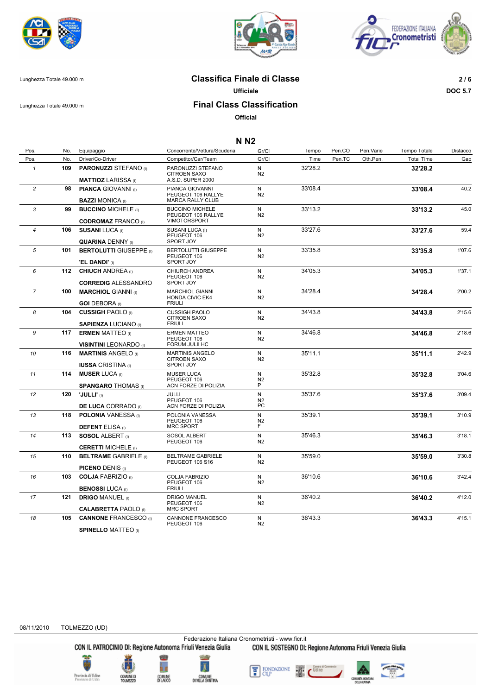





Lunghezza Totale 49.000 m **Classifica Finale di Classe 2 / 6**

**Ufficiale DOC 5.7**

# Lunghezza Totale 49.000 m **Final Class Classification**

**Official**

### **N N2**

| Pos.           | No. | Equipaggio                                                                          | Concorrente/Vettura/Scuderia                                            | Gr/Cl                          | Tempo   | Pen.CO | Pen.Varie | Tempo Totale      | Distacco |
|----------------|-----|-------------------------------------------------------------------------------------|-------------------------------------------------------------------------|--------------------------------|---------|--------|-----------|-------------------|----------|
| Pos.           | No. | Driver/Co-Driver                                                                    | Competitor/Car/Team                                                     | Gr/Cl                          | Time    | Pen.TC | Oth.Pen.  | <b>Total Time</b> | Gap      |
| $\mathbf{1}$   | 109 | <b>PARONUZZI STEFANO</b> (I)<br><b>MATTIOZ LARISSA</b> (I)                          | PARONUZZI STEFANO<br><b>CITROEN SAXO</b><br>A.S.D. SUPER 2000           | N<br>N2                        | 32'28.2 |        |           | 32'28.2           |          |
| $\overline{c}$ | 98  | <b>PIANCA GIOVANNI</b> (I)                                                          | PIANCA GIOVANNI<br>PEUGEOT 106 RALLYE                                   | N<br>N2                        | 33'08.4 |        |           | 33'08.4           | 40.2     |
| 3              | 99  | <b>BAZZI MONICA</b> (i)<br><b>BUCCINO MICHELE (i)</b>                               | <b>MARCA RALLY CLUB</b><br><b>BUCCINO MICHELE</b><br>PEUGEOT 106 RALLYE | N<br>N2                        | 33'13.2 |        |           | 33'13.2           | 45.0     |
| $\overline{4}$ | 106 | <b>CODROMAZ FRANCO (I)</b><br><b>SUSANI LUCA (I)</b>                                | VIMOTORSPORT<br>SUSANI LUCA (I)<br>PEUGEOT 106                          | N<br>N2                        | 33'27.6 |        |           | 33'27.6           | 59.4     |
| 5              | 101 | <b>QUARINA DENNY</b> (I)<br><b>BERTOLUTTI GIUSEPPE (I)</b><br><b>'EL DANDI'</b> (I) | SPORT JOY<br><b>BERTOLUTTI GIUSEPPE</b><br>PEUGEOT 106<br>SPORT JOY     | N<br>N <sub>2</sub>            | 33'35.8 |        |           | 33'35.8           | 1'07.6   |
| 6              |     | 112 CHIUCH ANDREA (I)<br><b>CORREDIG ALESSANDRO</b>                                 | CHIURCH ANDREA<br>PEUGEOT 106<br>SPORT JOY                              | N<br>N <sub>2</sub>            | 34'05.3 |        |           | 34'05.3           | 1'37.1   |
| $\overline{7}$ | 100 | <b>MARCHIOL GIANNI</b> (I)<br><b>GOI DEBORA</b> (I)                                 | MARCHIOL GIANNI<br><b>HONDA CIVIC EK4</b><br><b>FRIULI</b>              | N<br>N <sub>2</sub>            | 34'28.4 |        |           | 34'28.4           | 2'00.2   |
| 8              | 104 | <b>CUSSIGH PAOLO</b> (I)<br><b>SAPIENZA LUCIANO</b> (I)                             | <b>CUSSIGH PAOLO</b><br>CITROEN SAXO<br><b>FRIULI</b>                   | N<br>N <sub>2</sub>            | 34'43.8 |        |           | 34'43.8           | 2'15.6   |
| 9              |     | <b>117 ERMEN MATTEO</b> (I)<br><b>VISINTINI LEONARDO</b> (I)                        | <b>ERMEN MATTEO</b><br>PEUGEOT 106<br>FORUM JULII HC                    | N<br>N <sub>2</sub>            | 34'46.8 |        |           | 34'46.8           | 2'18.6   |
| 10             | 116 | <b>MARTINIS ANGELO</b> (I)<br><b>IUSSA CRISTINA</b> (I)                             | <b>MARTINIS ANGELO</b><br><b>CITROEN SAXO</b><br>SPORT JOY              | N<br>N <sub>2</sub>            | 35'11.1 |        |           | 35'11.1           | 2'42.9   |
| 11             | 114 | <b>MUSER LUCA</b> (I)<br><b>SPANGARO THOMAS</b> (I)                                 | <b>MUSER LUCA</b><br>PEUGEOT 106<br>ACN FORZE DI POLIZIA                | N<br>N <sub>2</sub><br>P       | 35'32.8 |        |           | 35'32.8           | 3'04.6   |
| 12             | 120 | 'JULLI' (I)<br><b>DE LUCA CORRADO</b> (I)                                           | JULLI<br>PEUGEOT 106<br>ACN FORZE DI POLIZIA                            | N<br>N <sub>2</sub><br>PC      | 35'37.6 |        |           | 35'37.6           | 3'09.4   |
| 13             | 118 | <b>POLONIA</b> VANESSA (I)<br><b>DEFENT ELISA (I)</b>                               | POLONIA VANESSA<br>PEUGEOT 106<br><b>MRC SPORT</b>                      | N<br>N <sub>2</sub><br>F       | 35'39.1 |        |           | 35'39.1           | 3'10.9   |
| 14             |     | 113 SOSOL ALBERT (I)<br><b>CERETTI MICHELE</b> (I)                                  | SOSOL ALBERT<br>PEUGEOT 106                                             | $\mathsf{N}$<br>N <sub>2</sub> | 35'46.3 |        |           | 35'46.3           | 3'18.1   |
| 15             | 110 | <b>BELTRAME GABRIELE (I)</b><br><b>PICENO DENIS (I)</b>                             | <b>BELTRAME GABRIELE</b><br>PEUGEOT 106 S16                             | N<br>N <sub>2</sub>            | 35'59.0 |        |           | 35'59.0           | 3'30.8   |
| 16             | 103 | <b>COLJA FABRIZIO</b> (I)<br><b>BENOSSI LUCA</b> (I)                                | <b>COLJA FABRIZIO</b><br>PEUGEOT 106<br><b>FRIULI</b>                   | N<br>N <sub>2</sub>            | 36'10.6 |        |           | 36'10.6           | 3'42.4   |
| 17             | 121 | <b>DRIGO MANUEL (I)</b><br><b>CALABRETTA PAOLO</b> (I)                              | <b>DRIGO MANUEL</b><br>PEUGEOT 106<br><b>MRC SPORT</b>                  | N<br>N <sub>2</sub>            | 36'40.2 |        |           | 36'40.2           | 4'12.0   |
| 18             | 105 | <b>CANNONE FRANCESCO</b> (I)<br><b>SPINELLO MATTEO (I)</b>                          | CANNONE FRANCESCO<br>PEUGEOT 106                                        | N<br>N <sub>2</sub>            | 36'43.3 |        |           | 36'43.3           | 4'15.1   |

08/11/2010 TOLMEZZO (UD)

Federazione Italiana Cronometristi - www.ficr.it<br>CON IL PATROCINIO DI: Regione Autonoma Friuli Venezia Giulia CON IL SOSTEGNO DI:

CON IL SOSTEGNO DI: Regione Autonoma Friuli Venezia Giulia

**Pravincia di Udio**<br>Provincie di Udio





FONDAZIONE<br>CUP 뚐

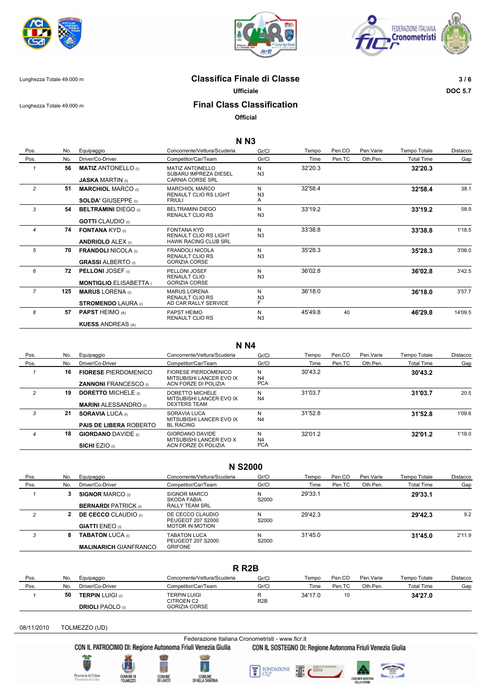





Lunghezza Totale 49.000 m **Classifica Finale di Classe 3 / 6**

**Ufficiale DOC 5.7**

## Lunghezza Totale 49.000 m **Final Class Classification**

**Official**

## **N N3**

| Pos.           | No. | Equipaggio                                                | Concorrente/Vettura/Scuderia                                                      | Gr/Cl                    | Tempo   | Pen.CO | Pen. Varie | Tempo Totale      | Distacco |
|----------------|-----|-----------------------------------------------------------|-----------------------------------------------------------------------------------|--------------------------|---------|--------|------------|-------------------|----------|
| Pos.           | No. | Driver/Co-Driver                                          | Competitor/Car/Team                                                               | Gr/Cl                    | Time    | Pen.TC | Oth.Pen.   | <b>Total Time</b> | Gap      |
|                | 56  | <b>MATIZ ANTONELLO</b> (I)<br><b>JASKA MARTIN</b> (i)     | <b>MATIZ ANTONELLO</b><br>SUBARU IMPREZA DIESEL<br><b>CARNIA CORSE SRL</b>        | N<br>N <sub>3</sub>      | 32'20.3 |        |            | 32'20.3           |          |
| 2              | 51  | <b>MARCHIOL MARCO (I)</b><br><b>SOLDA' GIUSEPPE</b> (i)   | MARCHIOL MARCO<br><b>RENAULT CLIO RS LIGHT</b><br><b>FRIULI</b>                   | N<br>N <sub>3</sub><br>A | 32'58.4 |        |            | 32'58.4           | 38.1     |
| 3              | 54  | <b>BELTRAMINI DIEGO</b> (I)<br><b>GOTTI</b> CLAUDIO (I)   | <b>BELTRAMINI DIEGO</b><br><b>RENAULT CLIO RS</b>                                 | N<br>N <sub>3</sub>      | 33'19.2 |        |            | 33'19.2           | 58.9     |
| $\overline{4}$ | 74  | <b>FONTANA KYD</b> (i)<br><b>ANDRIOLO ALEX (i)</b>        | <b>FONTANA KYD</b><br><b>RENAULT CLIO RS LIGHT</b><br><b>HAWK RACING CLUB SRL</b> | N<br>N <sub>3</sub>      | 33'38.8 |        |            | 33'38.8           | 1'18.5   |
| 5              | 70  | <b>FRANDOLI NICOLA</b> (i)<br><b>GRASSI ALBERTO</b> (i)   | <b>FRANDOLI NICOLA</b><br>RENAULT CLIO RS<br><b>GORIZIA CORSE</b>                 | N<br>N <sub>3</sub>      | 35'28.3 |        |            | 35'28.3           | 3'08.0   |
| 6              | 72  | <b>PELLONI JOSEF</b> (i)<br><b>MONTIGLIO ELISABETTA (</b> | PELLONI JOSEF<br>RENAULT CLIO<br><b>GORIZIA CORSE</b>                             | N<br>N <sub>3</sub>      | 36'02.8 |        |            | 36'02.8           | 3'42.5   |
| $\overline{7}$ | 125 | <b>MARUS LORENA</b> (I)<br><b>STROMENDO LAURA (I)</b>     | <b>MARUS LORENA</b><br>RENAULT CLIO RS<br>AD CAR RALLY SERVICE                    | N<br>N <sub>3</sub><br>F | 36'18.0 |        |            | 36'18.0           | 3'57.7   |
| 8              | 57  | <b>PAPST HEIMO (A)</b><br><b>KUESS ANDREAS (A)</b>        | PAPST HEIMO<br><b>RENAULT CLIO RS</b>                                             | N<br>N <sub>3</sub>      | 45'49.8 | 40     |            | 46'29.8           | 14'09.5  |

#### **N N4**

| Pos. | No. | Equipaggio                    | Concorrente/Vettura/Scuderia                     | Gr/Cl      | Tempo   | Pen.CO | Pen Varie | Tempo Totale      | Distacco |
|------|-----|-------------------------------|--------------------------------------------------|------------|---------|--------|-----------|-------------------|----------|
| Pos. | No. | Driver/Co-Driver              | Competitor/Car/Team                              | Gr/Cl      | Time    | Pen.TC | Oth.Pen.  | <b>Total Time</b> | Gap      |
|      | 16  | <b>FIORESE PIERDOMENICO</b>   | FIORESE PIERDOMENICO<br>MITSUBISHI LANCER EVO IX | N<br>N4    | 30'43.2 |        |           | 30'43.2           |          |
|      |     | <b>ZANNONI FRANCESCO</b> (i)  | ACN FORZE DI POLIZIA                             | <b>PCA</b> |         |        |           |                   |          |
| 2    | 19  | <b>DORETTO MICHELE</b> (i)    | DORETTO MICHELE<br>MITSUBISHI LANCER EVO IX      | N<br>N4    | 31'03.7 |        |           | 31'03.7           | 20.5     |
|      |     | <b>MARINI ALESSANDRO</b> (0)  | DEXTERS TEAM                                     |            |         |        |           |                   |          |
| 3    | 21  | <b>SORAVIA LUCA</b> (i)       | SORAVIA LUCA<br>MITSUBISHI LANCER EVO IX         | N<br>N4    | 31'52.8 |        |           | 31'52.8           | 1'09.6   |
|      |     | <b>PAIS DE LIBERA ROBERTO</b> | <b>BL RACING</b>                                 |            |         |        |           |                   |          |
| 4    | 18  | <b>GIORDANO DAVIDE</b> (i)    | GIORDANO DAVIDE<br>MITSUBISHI LANCER EVO X       | N<br>N4    | 32'01.2 |        |           | 32'01.2           | 1'18.0   |
|      |     | <b>SICHI EZIO</b> (1)         | ACN FORZE DI POLIZIA                             | <b>PCA</b> |         |        |           |                   |          |

### **N S2000**

| Pos. | No. | Equipaggio                   | Concorrente/Vettura/Scuderia          | Gr/Cl      | Tempo   | Pen.CO | Pen.Varie | Tempo Totale      | Distacco |
|------|-----|------------------------------|---------------------------------------|------------|---------|--------|-----------|-------------------|----------|
| Pos. | No. | Driver/Co-Driver             | Competitor/Car/Team                   | Gr/Cl      | Time    | Pen.TC | Oth.Pen.  | <b>Total Time</b> | Gap      |
|      | 3   | <b>SIGNOR MARCO</b> (i)      | <b>SIGNOR MARCO</b><br>SKODA FABIA    | N<br>S2000 | 29'33.1 |        |           | 29'33.1           |          |
|      |     | <b>BERNARDI PATRICK</b> (i)  | RALLY TEAM SRL                        |            |         |        |           |                   |          |
|      | 2   | <b>DE CECCO</b> CLAUDIO (0)  | DE CECCO CLAUDIO<br>PEUGEOT 207 S2000 | N<br>S2000 | 29'42.3 |        |           | 29'42.3           | 9.2      |
|      |     | <b>GIATTI ENEO</b> (I)       | <b>MOTOR IN MOTION</b>                |            |         |        |           |                   |          |
| 3    | 8   | <b>TABATON LUCA (I)</b>      | TABATON LUCA<br>PEUGEOT 207 S2000     | N<br>S2000 | 31'45.0 |        |           | 31'45.0           | 2'11.9   |
|      |     | <b>MALINARICH GIANFRANCO</b> | <b>GRIFONE</b>                        |            |         |        |           |                   |          |

### **R R2B**

| Pos. | No. | Equipaggio                                         | Concorrente/Vettura/Scuderia                              | Gr/Cl            | Tempo   | Pen.CO | Pen. Varie | Tempo Totale      | Distacco |
|------|-----|----------------------------------------------------|-----------------------------------------------------------|------------------|---------|--------|------------|-------------------|----------|
| Pos. | No. | Driver/Co-Driver                                   | Competitor/Car/Team                                       | Gr/Cl            | Time    | Pen.TC | Oth.Pen.   | <b>Total Time</b> | Gap      |
|      | 50  | <b>TERPIN LUIGI (I)</b><br><b>DRIOLI PAOLO</b> (I) | <b>TERPIN LUIGI</b><br>CITROEN C2<br><b>GORIZIA CORSE</b> | R <sub>2</sub> B | 34'17.0 | 10     |            | 34'27.0           |          |

08/11/2010 TOLMEZZO (UD)

Federazione Italiana Cronometristi - www.ficr.it<br>CON IL PATROCINIO DI: Regione Autonoma Friuli Venezia Giulia CON IL SOSTEGNO DI:

CON IL SOSTEGNO DI: Regione Autonoma Friuli Venezia Giulia





COMUNE<br>DILAUCO





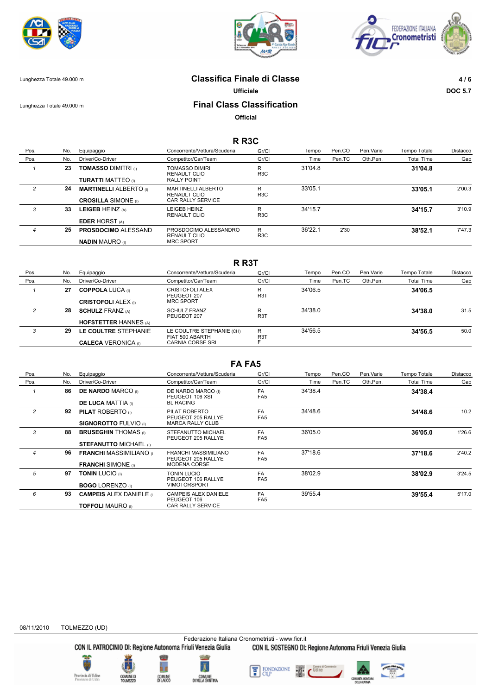





# Lunghezza Totale 49.000 m **Classifica Finale di Classe 4 / 6**

**Ufficiale DOC 5.7**

# Lunghezza Totale 49.000 m **Final Class Classification**

**Official**

### **R R3C**

| Pos.           | No. | Equipaggio                    | Concorrente/Vettura/Scuderia              | Gr/Cl                 | Tempo   | Pen.CO | Pen. Varie | Tempo Totale      | Distacco |
|----------------|-----|-------------------------------|-------------------------------------------|-----------------------|---------|--------|------------|-------------------|----------|
| Pos.           | No. | Driver/Co-Driver              | Competitor/Car/Team                       | Gr/Cl                 | Time    | Pen.TC | Oth.Pen.   | <b>Total Time</b> | Gap      |
|                | 23  | <b>TOMASSO DIMITRI (I)</b>    | <b>TOMASSO DIMIRI</b><br>RENAULT CLIO     | R<br>R <sub>3</sub> C | 31'04.8 |        |            | 31'04.8           |          |
|                |     | <b>TURATTI MATTEO</b> (i)     | <b>RALLY POINT</b>                        |                       |         |        |            |                   |          |
| $\overline{c}$ | 24  | <b>MARTINELLI ALBERTO</b> (i) | <b>MARTINELLI ALBERTO</b><br>RENAULT CLIO | R<br>R <sub>3</sub> C | 33'05.1 |        |            | 33'05.1           | 2'00.3   |
|                |     | <b>CROSILLA SIMONE</b> (I)    | <b>CAR RALLY SERVICE</b>                  |                       |         |        |            |                   |          |
| 3              | 33  | LEIGEB HEINZ (A)              | <b>EIGEB HEINZ</b><br><b>RENAULT CLIO</b> | R<br>R <sub>3</sub> C | 34'15.7 |        |            | 34'15.7           | 3'10.9   |
|                |     | <b>EDER HORST</b> (A)         |                                           |                       |         |        |            |                   |          |
| 4              | 25  | <b>PROSDOCIMO ALESSAND</b>    | PROSDOCIMO ALESSANDRO<br>RENAULT CLIO     | R<br>R <sub>3</sub> C | 36'22.1 | 2'30   |            | 38'52.1           | 7'47.3   |
|                |     | <b>NADIN MAURO</b> (I)        | <b>MRC SPORT</b>                          |                       |         |        |            |                   |          |

| R R3T |     |                                                         |                                                                  |                       |         |        |           |                   |          |
|-------|-----|---------------------------------------------------------|------------------------------------------------------------------|-----------------------|---------|--------|-----------|-------------------|----------|
| Pos.  | No. | Equipaggio                                              | Concorrente/Vettura/Scuderia                                     | Gr/Cl                 | Tempo   | Pen.CO | Pen.Varie | Tempo Totale      | Distacco |
| Pos.  | No. | Driver/Co-Driver                                        | Competitor/Car/Team                                              | Gr/Cl                 | Time    | Pen.TC | Oth.Pen.  | <b>Total Time</b> | Gap      |
|       | 27  | <b>COPPOLA LUCA</b> (i)<br><b>CRISTOFOLI ALEX (i)</b>   | CRISTOFOLI ALEX<br>PEUGEOT 207<br><b>MRC SPORT</b>               | R<br>R <sub>3</sub> T | 34'06.5 |        |           | 34'06.5           |          |
| 2     | 28  | <b>SCHULZ FRANZ (A)</b><br><b>HOFSTETTER HANNES (A)</b> | <b>SCHULZ FRANZ</b><br>PEUGEOT 207                               | R<br>R <sub>3</sub> T | 34'38.0 |        |           | 34'38.0           | 31.5     |
| 3     | 29  | LE COULTRE STEPHANIE<br><b>CALECA VERONICA (I)</b>      | LE COULTRE STEPHANIE (CH)<br>FIAT 500 ABARTH<br>CARNIA CORSE SRL | R<br>R31              | 34'56.5 |        |           | 34'56.5           | 50.0     |

## **FA FA5**

| Pos.           | No. | Equipaggio                      | Concorrente/Vettura/Scuderia                      | Gr/Cl                        | Tempo   | Pen.CO | Pen. Varie | Tempo Totale      | Distacco |
|----------------|-----|---------------------------------|---------------------------------------------------|------------------------------|---------|--------|------------|-------------------|----------|
| Pos.           | No. | Driver/Co-Driver                | Competitor/Car/Team                               | Gr/Cl                        | Time    | Pen.TC | Oth.Pen.   | <b>Total Time</b> | Gap      |
|                | 86  | <b>DE NARDO MARCO</b> (i)       | DE NARDO MARCO (I)<br>PEUGEOT 106 XSL             | FA.<br>FA <sub>5</sub>       | 34'38.4 |        |            | 34'38.4           |          |
|                |     | <b>DE LUCA MATTIA</b> (i)       | <b>BL RACING</b>                                  |                              |         |        |            |                   |          |
| 2              | 92  | <b>PILAT ROBERTO</b> (i)        | PILAT ROBERTO<br>PEUGEOT 205 RALLYE               | FA.<br>FA <sub>5</sub>       | 34'48.6 |        |            | 34'48.6           | 10.2     |
|                |     | <b>SIGNOROTTO FULVIO</b> (i)    | <b>MARCA RALLY CLUB</b>                           |                              |         |        |            |                   |          |
| 3              | 88  | <b>BRUSEGHIN THOMAS</b> (i)     | STEFANUTTO MICHAEL<br>PEUGEOT 205 RALLYE          | FA.<br>FA <sub>5</sub>       | 36'05.0 |        |            | 36'05.0           | 1'26.6   |
|                |     | <b>STEFANUTTO MICHAEL (i)</b>   |                                                   |                              |         |        |            |                   |          |
| $\overline{4}$ | 96  | <b>FRANCHI MASSIMILIANO</b> (1) | <b>FRANCHI MASSIMILIANO</b><br>PEUGEOT 205 RALLYE | FA<br>FA <sub>5</sub>        | 37'18.6 |        |            | 37'18.6           | 2'40.2   |
|                |     | <b>FRANCHI</b> SIMONE (i)       | <b>MODENA CORSE</b>                               |                              |         |        |            |                   |          |
| 5              | 97  | <b>TONIN LUCIO</b> (0)          | <b>TONIN LUCIO</b><br>PEUGEOT 106 RALLYE          | <b>FA</b><br>FA <sub>5</sub> | 38'02.9 |        |            | 38'02.9           | 3'24.5   |
|                |     | <b>BOGO LORENZO</b> (i)         | <b>VIMOTORSPORT</b>                               |                              |         |        |            |                   |          |
| 6              | 93  | <b>CAMPEIS ALEX DANIELE</b> (1) | CAMPEIS ALEX DANIELE<br>PEUGEOT 106               | <b>FA</b><br>FA <sub>5</sub> | 39'55.4 |        |            | 39'55.4           | 5'17.0   |
|                |     | <b>TOFFOLI MAURO</b> (i)        | <b>CAR RALLY SERVICE</b>                          |                              |         |        |            |                   |          |

#### 08/11/2010 TOLMEZZO (UD)

Federazione Italiana Cronometristi - www.ficr.it<br>CON IL PATROCINIO DI: Regione Autonoma Friuli Venezia Giulia CON IL SOSTEGNO DI:

CON IL SOSTEGNO DI: Regione Autonoma Friuli Venezia Giulia

vincia di Udio<br>vincie di Udio







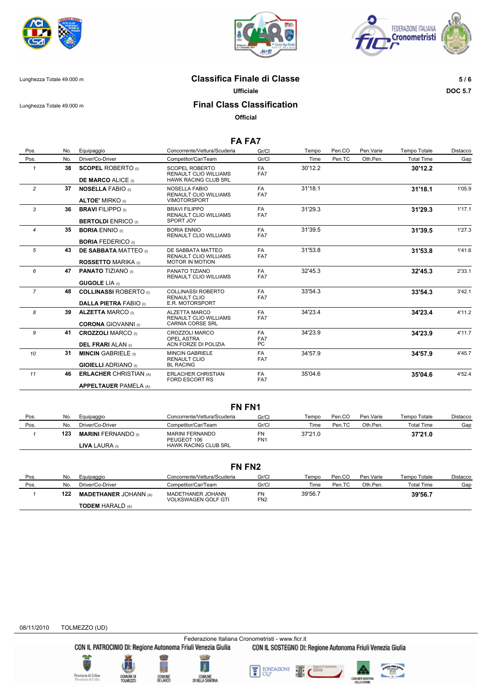





# Lunghezza Totale 49.000 m **Classifica Finale di Classe 5 / 6**

**Ufficiale DOC 5.7**

Lunghezza Totale 49.000 m **Final Class Classification**

**Official**

# **FA FA7**

| Pos.           | No. | Equipaggio                                             | Concorrente/Vettura/Scuderia                                                | Gr/Cl            | Tempo   | Pen.CO | Pen. Varie | Tempo Totale      | Distacco |
|----------------|-----|--------------------------------------------------------|-----------------------------------------------------------------------------|------------------|---------|--------|------------|-------------------|----------|
| Pos.           | No. | Driver/Co-Driver                                       | Competitor/Car/Team                                                         | Gr/Cl            | Time    | Pen.TC | Oth.Pen.   | <b>Total Time</b> | Gap      |
| $\mathbf{1}$   | 38  | <b>SCOPEL ROBERTO</b> (i)                              | <b>SCOPEL ROBERTO</b><br><b>RENAULT CLIO WILLIAMS</b>                       | <b>FA</b><br>FA7 | 30'12.2 |        |            | 30'12.2           |          |
|                |     | <b>DE MARCO ALICE (I)</b>                              | <b>HAWK RACING CLUB SRL</b>                                                 |                  |         |        |            |                   |          |
| $\overline{2}$ | 37  | <b>NOSELLA FABIO (I)</b><br><b>ALTOE' MIRKO</b> (i)    | <b>NOSELLA FABIO</b><br><b>RENAULT CLIO WILLIAMS</b><br><b>VIMOTORSPORT</b> | FA.<br>FA7       | 31'18.1 |        |            | 31'18.1           | 1'05.9   |
|                |     |                                                        |                                                                             |                  |         |        |            |                   |          |
| $\mathbf{3}$   | 36  | <b>BRAVI FILIPPO</b> (I)<br><b>BERTOLDI ENRICO</b> (i) | <b>BRAVI FILIPPO</b><br><b>RENAULT CLIO WILLIAMS</b><br>SPORT JOY           | FA<br>FA7        | 31'29.3 |        |            | 31'29.3           | 1'17.1   |
|                |     |                                                        |                                                                             |                  |         |        |            |                   |          |
| 4              | 35  | <b>BORIA ENNIO</b> (i)                                 | <b>BORIA ENNIO</b><br><b>RENAULT CLIO WILLIAMS</b>                          | FA<br>FA7        | 31'39.5 |        |            | 31'39.5           | 1'27.3   |
|                |     | <b>BORIA FEDERICO</b> (i)                              |                                                                             |                  |         |        |            |                   |          |
| 5              | 43  | <b>DE SABBATA MATTEO</b> (i)                           | DE SABBATA MATTEO                                                           | FA               | 31'53.8 |        |            | 31'53.8           | 1'41.6   |
|                |     |                                                        | <b>RENAULT CLIO WILLIAMS</b>                                                | FA7              |         |        |            |                   |          |
|                |     | <b>ROSSETTO MARIKA</b> (i)                             | <b>MOTOR IN MOTION</b>                                                      |                  |         |        |            |                   |          |
| 6              | 47  | <b>PANATO TIZIANO</b> (i)                              | PANATO TIZIANO<br><b>RENAULT CLIO WILLIAMS</b>                              | <b>FA</b><br>FA7 | 32'45.3 |        |            | 32'45.3           | 2'33.1   |
|                |     | <b>GUGOLE LIA</b> (i)                                  |                                                                             |                  |         |        |            |                   |          |
| $\overline{7}$ | 48  | <b>COLLINASSI ROBERTO</b> (i)                          | <b>COLLINASSI ROBERTO</b><br><b>RENAULT CLIO</b>                            | FA<br>FA7        | 33'54.3 |        |            | 33'54.3           | 3'42.1   |
|                |     | <b>DALLA PIETRA FABIO (i)</b>                          | E.R. MOTORSPORT                                                             |                  |         |        |            |                   |          |
| 8              | 39  | <b>ALZETTA MARCO (I)</b>                               | ALZETTA MARCO<br><b>RENAULT CLIO WILLIAMS</b>                               | FA<br>FA7        | 34'23.4 |        |            | 34'23.4           | 4'11.2   |
|                |     | <b>CORONA GIOVANNI</b> (0)                             | <b>CARNIA CORSE SRL</b>                                                     |                  |         |        |            |                   |          |
| 9              | 41  | <b>CROZZOLI MARCO</b> (I)                              | <b>CROZZOLI MARCO</b><br><b>OPEL ASTRA</b>                                  | FA.<br>FA7       | 34'23.9 |        |            | 34'23.9           | 4'11.7   |
|                |     | <b>DEL FRARI ALAN</b> (i)                              | ACN FORZE DI POLIZIA                                                        | PC.              |         |        |            |                   |          |
| 10             | 31  | <b>MINCIN GABRIELE</b> (i)                             | <b>MINCIN GABRIELE</b>                                                      | <b>FA</b>        | 34'57.9 |        |            | 34'57.9           | 4'45.7   |
|                |     |                                                        | <b>RENAULT CLIO</b><br><b>BL RACING</b>                                     | FA7              |         |        |            |                   |          |
|                |     | <b>GIOIELLI ADRIANO</b> (I)                            |                                                                             |                  |         |        |            |                   |          |
| 11             | 46  | <b>ERLACHER CHRISTIAN (A)</b>                          | <b>ERLACHER CHRISTIAN</b><br><b>FORD ESCORT RS</b>                          | FA<br>FA7        | 35'04.6 |        |            | 35'04.6           | 4'52.4   |
|                |     | <b>APPELTAUER PAMELA (A)</b>                           |                                                                             |                  |         |        |            |                   |          |

### **FN FN1**

| Pos. | No. | Equipaggio                 | Concorrente/Vettura/Scuderia   | Gr/C                  | Tempo   | Pen.CO | Pen.Varie | Tempo Totale      | Distacco |
|------|-----|----------------------------|--------------------------------|-----------------------|---------|--------|-----------|-------------------|----------|
| Pos. | No. | Driver/Co-Driver           | Competitor/Car/Team            | Gr/C                  | Time    | Pen.TC | Oth Pen.  | <b>Total Time</b> | Gap      |
|      | 123 | <b>MARINI FERNANDO</b> (1) | MARINI FERNANDO<br>PEUGEOT 106 | FN<br>FN <sub>1</sub> | 37'21.0 |        |           | 37'21.0           |          |
|      |     | <b>LIVA LAURA</b> (0)      | <b>HAWK RACING CLUB SRL</b>    |                       |         |        |           |                   |          |

| FN FN <sub>2</sub> |     |                              |                                                 |                       |         |        |            |                   |          |
|--------------------|-----|------------------------------|-------------------------------------------------|-----------------------|---------|--------|------------|-------------------|----------|
| Pos.               | No. | Equipaggio                   | Concorrente/Vettura/Scuderia                    | Gr/Cl                 | Tempo   | Pen.CO | Pen. Varie | Tempo Totale      | Distacco |
| Pos.               | No. | Driver/Co-Driver             | Competitor/Car/Team                             | Gr/Cl                 | Time    | Pen.TC | Oth.Pen.   | <b>Total Time</b> | Gap      |
|                    | 122 | <b>MADETHANER JOHANN (A)</b> | MADETHANER JOHANN<br><b>VOLKSWAGEN GOLF GTI</b> | FN<br>FN <sub>2</sub> | 39'56.7 |        |            | 39'56.7           |          |
|                    |     | <b>TODEM HARALD (A)</b>      |                                                 |                       |         |        |            |                   |          |



.<br>Inviacia di Udio<br>Provincie di Udio



Federazione Italiana Cronometristi - www.ficr.it<br>CON IL PATROCINIO DI: Regione Autonoma Friuli Venezia Giulia CON IL SOSTEGNO DI: CON IL SOSTEGNO DI: Regione Autonoma Friuli Venezia Giulia

> FONDAZIONE<br>CUP 뚐